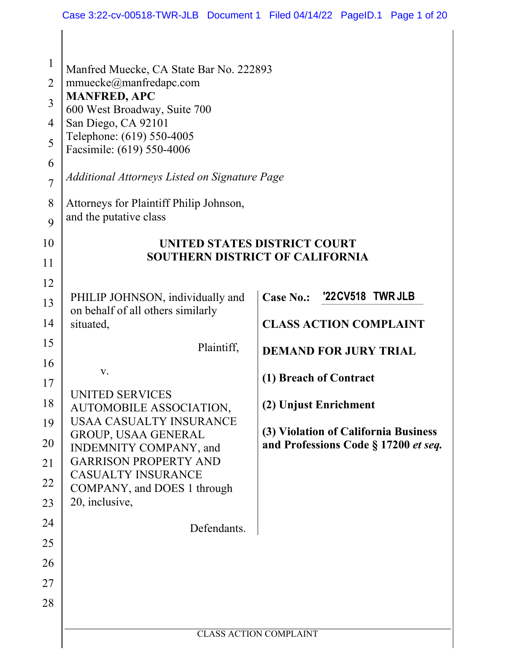| $\mathbf{1}$<br>$\overline{2}$<br>3<br>4<br>5<br>6<br>$\overline{7}$<br>8<br>9 | Manfred Muecke, CA State Bar No. 222893<br>mmuecke@manfredapc.com<br><b>MANFRED, APC</b><br>600 West Broadway, Suite 700<br>San Diego, CA 92101<br>Telephone: (619) 550-4005<br>Facsimile: (619) 550-4006<br>Additional Attorneys Listed on Signature Page<br>Attorneys for Plaintiff Philip Johnson,<br>and the putative class |                                                                              |  |  |  |
|--------------------------------------------------------------------------------|---------------------------------------------------------------------------------------------------------------------------------------------------------------------------------------------------------------------------------------------------------------------------------------------------------------------------------|------------------------------------------------------------------------------|--|--|--|
| 10<br>11                                                                       | UNITED STATES DISTRICT COURT<br><b>SOUTHERN DISTRICT OF CALIFORNIA</b>                                                                                                                                                                                                                                                          |                                                                              |  |  |  |
| 12                                                                             |                                                                                                                                                                                                                                                                                                                                 |                                                                              |  |  |  |
| 13<br>14<br>15                                                                 | PHILIP JOHNSON, individually and<br>on behalf of all others similarly<br>situated,<br>Plaintiff,                                                                                                                                                                                                                                | Case No.: '22 CV 518 TWR JLB<br><b>CLASS ACTION COMPLAINT</b>                |  |  |  |
| 16                                                                             | V.                                                                                                                                                                                                                                                                                                                              | <b>DEMAND FOR JURY TRIAL</b>                                                 |  |  |  |
| 17                                                                             |                                                                                                                                                                                                                                                                                                                                 | (1) Breach of Contract                                                       |  |  |  |
| 18                                                                             | <b>UNITED SERVICES</b><br>AUTOMOBILE ASSOCIATION,                                                                                                                                                                                                                                                                               | (2) Unjust Enrichment                                                        |  |  |  |
| 19<br>20<br>21<br>22<br>23                                                     | <b>USAA CASUALTY INSURANCE</b><br>GROUP, USAA GENERAL<br>INDEMNITY COMPANY, and<br><b>GARRISON PROPERTY AND</b><br><b>CASUALTY INSURANCE</b><br>COMPANY, and DOES 1 through<br>20, inclusive,                                                                                                                                   | (3) Violation of California Business<br>and Professions Code § 17200 et seq. |  |  |  |
| 24                                                                             | Defendants.                                                                                                                                                                                                                                                                                                                     |                                                                              |  |  |  |
| 25                                                                             |                                                                                                                                                                                                                                                                                                                                 |                                                                              |  |  |  |
| 26                                                                             |                                                                                                                                                                                                                                                                                                                                 |                                                                              |  |  |  |
| 27                                                                             |                                                                                                                                                                                                                                                                                                                                 |                                                                              |  |  |  |
| 28                                                                             |                                                                                                                                                                                                                                                                                                                                 |                                                                              |  |  |  |
|                                                                                |                                                                                                                                                                                                                                                                                                                                 | <b>CLASS ACTION COMPLAINT</b>                                                |  |  |  |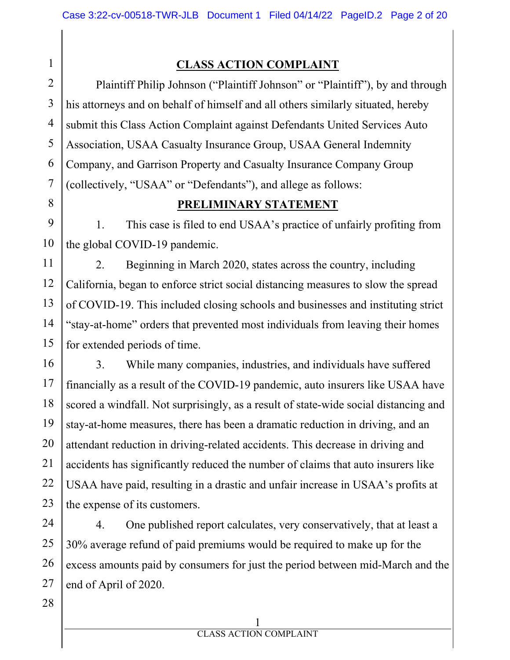1

8

### **CLASS ACTION COMPLAINT**

2 3 4 5 6 7 Plaintiff Philip Johnson ("Plaintiff Johnson" or "Plaintiff"), by and through his attorneys and on behalf of himself and all others similarly situated, hereby submit this Class Action Complaint against Defendants United Services Auto Association, USAA Casualty Insurance Group, USAA General Indemnity Company, and Garrison Property and Casualty Insurance Company Group (collectively, "USAA" or "Defendants"), and allege as follows:

### **PRELIMINARY STATEMENT**

9 10 1. This case is filed to end USAA's practice of unfairly profiting from the global COVID-19 pandemic.

11 12 13 14 15 2. Beginning in March 2020, states across the country, including California, began to enforce strict social distancing measures to slow the spread of COVID-19. This included closing schools and businesses and instituting strict "stay-at-home" orders that prevented most individuals from leaving their homes for extended periods of time.

16 17 18 19 20 21 22 23 3. While many companies, industries, and individuals have suffered financially as a result of the COVID-19 pandemic, auto insurers like USAA have scored a windfall. Not surprisingly, as a result of state-wide social distancing and stay-at-home measures, there has been a dramatic reduction in driving, and an attendant reduction in driving-related accidents. This decrease in driving and accidents has significantly reduced the number of claims that auto insurers like USAA have paid, resulting in a drastic and unfair increase in USAA's profits at the expense of its customers.

24 25 26 27 4. One published report calculates, very conservatively, that at least a 30% average refund of paid premiums would be required to make up for the excess amounts paid by consumers for just the period between mid-March and the end of April of 2020.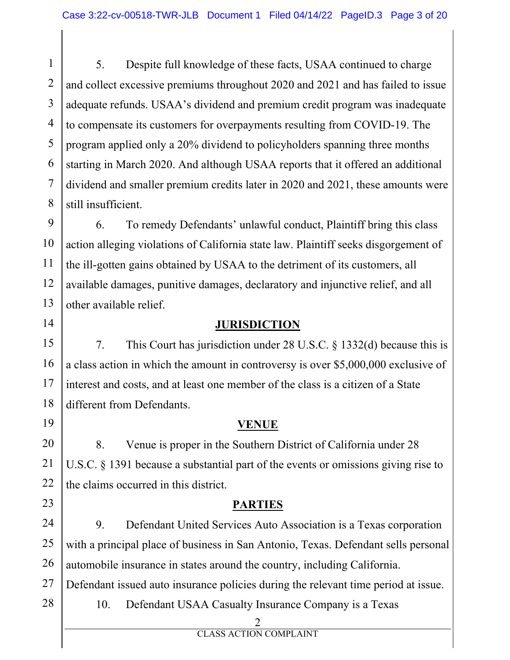1 2 3 4 5 6 7 8 5. Despite full knowledge of these facts, USAA continued to charge and collect excessive premiums throughout 2020 and 2021 and has failed to issue adequate refunds. USAA's dividend and premium credit program was inadequate to compensate its customers for overpayments resulting from COVID-19. The program applied only a 20% dividend to policyholders spanning three months starting in March 2020. And although USAA reports that it offered an additional dividend and smaller premium credits later in 2020 and 2021, these amounts were still insufficient.

9 10 11 12 13 6. To remedy Defendants' unlawful conduct, Plaintiff bring this class action alleging violations of California state law. Plaintiff seeks disgorgement of the ill-gotten gains obtained by USAA to the detriment of its customers, all available damages, punitive damages, declaratory and injunctive relief, and all other available relief.

### 14

19

23

28

#### **JURISDICTION**

15 16 17 18 7. This Court has jurisdiction under 28 U.S.C. § 1332(d) because this is a class action in which the amount in controversy is over \$5,000,000 exclusive of interest and costs, and at least one member of the class is a citizen of a State different from Defendants.

### **VENUE**

20 21 22 8. Venue is proper in the Southern District of California under 28 U.S.C. § 1391 because a substantial part of the events or omissions giving rise to the claims occurred in this district.

### **PARTIES**

24 25 26 9. Defendant United Services Auto Association is a Texas corporation with a principal place of business in San Antonio, Texas. Defendant sells personal automobile insurance in states around the country, including California.

27 Defendant issued auto insurance policies during the relevant time period at issue.

10. Defendant USAA Casualty Insurance Company is a Texas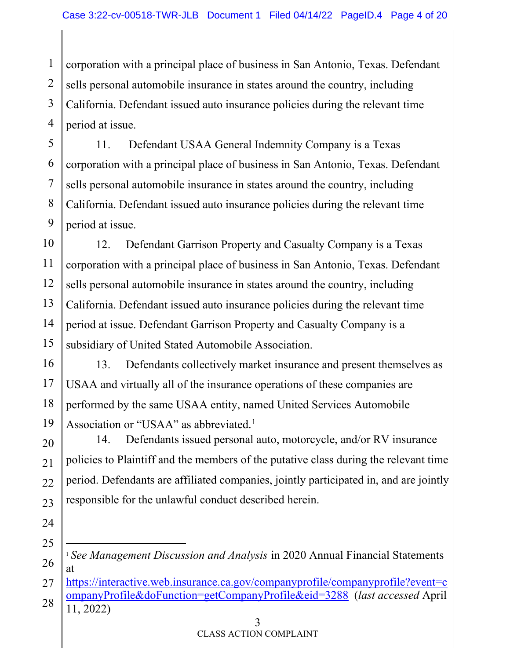1 2 3 4 corporation with a principal place of business in San Antonio, Texas. Defendant sells personal automobile insurance in states around the country, including California. Defendant issued auto insurance policies during the relevant time period at issue.

5 6 7 8 9 11. Defendant USAA General Indemnity Company is a Texas corporation with a principal place of business in San Antonio, Texas. Defendant sells personal automobile insurance in states around the country, including California. Defendant issued auto insurance policies during the relevant time period at issue.

10 11 12 13 14 15 12. Defendant Garrison Property and Casualty Company is a Texas corporation with a principal place of business in San Antonio, Texas. Defendant sells personal automobile insurance in states around the country, including California. Defendant issued auto insurance policies during the relevant time period at issue. Defendant Garrison Property and Casualty Company is a subsidiary of United Stated Automobile Association.

16 17 18 19 13. Defendants collectively market insurance and present themselves as USAA and virtually all of the insurance operations of these companies are performed by the same USAA entity, named United Services Automobile Association or "USAA" as abbreviated.<sup>1</sup>

20 21  $22$ 23 14. Defendants issued personal auto, motorcycle, and/or RV insurance policies to Plaintiff and the members of the putative class during the relevant time period. Defendants are affiliated companies, jointly participated in, and are jointly responsible for the unlawful conduct described herein.

- 24
- 25

<sup>1</sup> *See Management Discussion and Analysis* in 2020 Annual Financial Statements at

<sup>27</sup> 28 https://interactive.web.insurance.ca.gov/companyprofile/companyprofile?event=c ompanyProfile&doFunction=getCompanyProfile&eid=3288 (*last accessed* April 11, 2022)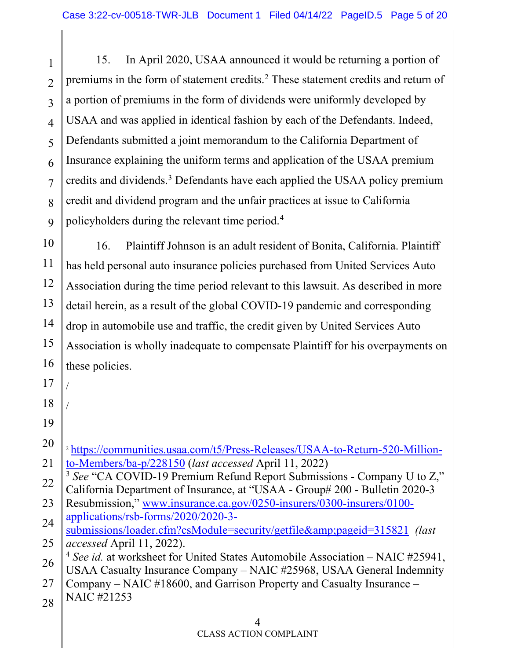1 2 3 4 5 6 7 8  $\mathbf Q$ 15. In April 2020, USAA announced it would be returning a portion of premiums in the form of statement credits. <sup>2</sup> These statement credits and return of a portion of premiums in the form of dividends were uniformly developed by USAA and was applied in identical fashion by each of the Defendants. Indeed, Defendants submitted a joint memorandum to the California Department of Insurance explaining the uniform terms and application of the USAA premium credits and dividends. <sup>3</sup> Defendants have each applied the USAA policy premium credit and dividend program and the unfair practices at issue to California policyholders during the relevant time period.4

10 11 12 13 14 15 16 16. Plaintiff Johnson is an adult resident of Bonita, California. Plaintiff has held personal auto insurance policies purchased from United Services Auto Association during the time period relevant to this lawsuit. As described in more detail herein, as a result of the global COVID-19 pandemic and corresponding drop in automobile use and traffic, the credit given by United Services Auto Association is wholly inadequate to compensate Plaintiff for his overpayments on these policies.

- 17 18 / /
- 19

28 NAIC #21253

<sup>20</sup> 21 <sup>2</sup> https://communities.usaa.com/t5/Press-Releases/USAA-to-Return-520-Millionto-Members/ba-p/228150 (*last accessed* April 11, 2022)

<sup>22</sup> <sup>3</sup> See "CA COVID-19 Premium Refund Report Submissions - Company U to Z," California Department of Insurance, at "USAA - Group# 200 - Bulletin 2020-3

<sup>23</sup> 24 Resubmission," www.insurance.ca.gov/0250-insurers/0300-insurers/0100 applications/rsb-forms/2020/2020-3-

<sup>25</sup> submissions/loader.cfm?csModule=security/getfile&pageid=315821 *(last accessed* April 11, 2022).

<sup>26</sup> <sup>4</sup> See id. at worksheet for United States Automobile Association – NAIC #25941, USAA Casualty Insurance Company – NAIC #25968, USAA General Indemnity

<sup>27</sup> Company – NAIC #18600, and Garrison Property and Casualty Insurance –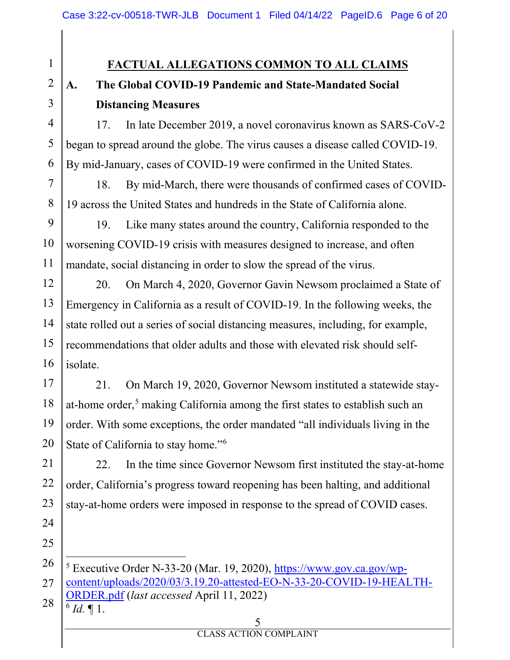**FACTUAL ALLEGATIONS COMMON TO ALL CLAIMS**

# **A. The Global COVID-19 Pandemic and State-Mandated Social Distancing Measures**

4 6 17. In late December 2019, a novel coronavirus known as SARS-CoV-2 began to spread around the globe. The virus causes a disease called COVID-19. By mid-January, cases of COVID-19 were confirmed in the United States.

18. By mid-March, there were thousands of confirmed cases of COVID-19 across the United States and hundreds in the State of California alone.

9 10 11 19. Like many states around the country, California responded to the worsening COVID-19 crisis with measures designed to increase, and often mandate, social distancing in order to slow the spread of the virus.

12 13 14 15 16 20. On March 4, 2020, Governor Gavin Newsom proclaimed a State of Emergency in California as a result of COVID-19. In the following weeks, the state rolled out a series of social distancing measures, including, for example, recommendations that older adults and those with elevated risk should selfisolate.

17 18 19 20 21. On March 19, 2020, Governor Newsom instituted a statewide stayat-home order,<sup>5</sup> making California among the first states to establish such an order. With some exceptions, the order mandated "all individuals living in the State of California to stay home."6

21 22 23 24 22. In the time since Governor Newsom first instituted the stay-at-home order, California's progress toward reopening has been halting, and additional stay-at-home orders were imposed in response to the spread of COVID cases.

25

1

2

3

5

7

8

 $6$  *Id.*  $\llbracket 1$ .

<sup>26</sup> 27 28 <sup>5</sup> Executive Order N-33-20 (Mar. 19, 2020), https://www.gov.ca.gov/wpcontent/uploads/2020/03/3.19.20-attested-EO-N-33-20-COVID-19-HEALTH-ORDER.pdf (*last accessed* April 11, 2022)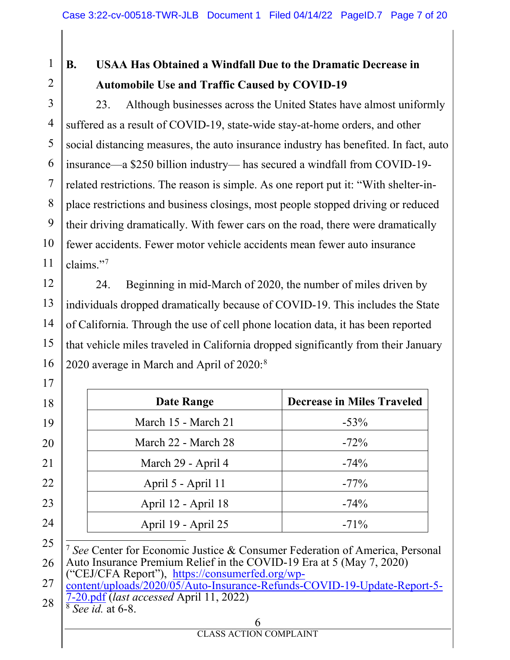1 2

17

## **B. USAA Has Obtained a Windfall Due to the Dramatic Decrease in Automobile Use and Traffic Caused by COVID-19**

3 4 5 6 7 8 9 10 11 23. Although businesses across the United States have almost uniformly suffered as a result of COVID-19, state-wide stay-at-home orders, and other social distancing measures, the auto insurance industry has benefited. In fact, auto insurance—a \$250 billion industry— has secured a windfall from COVID-19 related restrictions. The reason is simple. As one report put it: "With shelter-inplace restrictions and business closings, most people stopped driving or reduced their driving dramatically. With fewer cars on the road, there were dramatically fewer accidents. Fewer motor vehicle accidents mean fewer auto insurance claims."7

12 13 14 15 16 24. Beginning in mid-March of 2020, the number of miles driven by individuals dropped dramatically because of COVID-19. This includes the State of California. Through the use of cell phone location data, it has been reported that vehicle miles traveled in California dropped significantly from their January 2020 average in March and April of 2020:<sup>8</sup>

| Date Range          | <b>Decrease in Miles Traveled</b> |
|---------------------|-----------------------------------|
| March 15 - March 21 | $-53%$                            |
| March 22 - March 28 | $-72%$                            |
| March 29 - April 4  | $-74%$                            |
| April 5 - April 11  | $-77\%$                           |
| April 12 - April 18 | $-74%$                            |
| April 19 - April 25 | $-71\%$                           |
|                     |                                   |

<sup>25</sup> 26 <sup>7</sup> *See* Center for Economic Justice & Consumer Federation of America, Personal Auto Insurance Premium Relief in the COVID-19 Era at 5 (May 7, 2020)

<sup>27</sup> ("CEJ/CFA Report"), https://consumerfed.org/wp-

<sup>28</sup> content/uploads/2020/05/Auto-Insurance-Refunds-COVID-19-Update-Report-5- 7-20.pdf (*last accessed* April 11, 2022) 8 *See id.* at 6-8.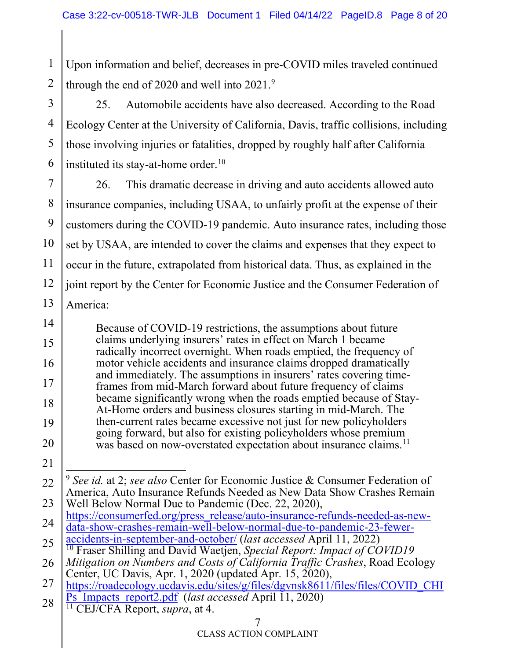1 2 Upon information and belief, decreases in pre-COVID miles traveled continued through the end of 2020 and well into 2021.<sup>9</sup>

3 4 5 6 25. Automobile accidents have also decreased. According to the Road Ecology Center at the University of California, Davis, traffic collisions, including those involving injuries or fatalities, dropped by roughly half after California instituted its stay-at-home order.<sup>10</sup>

7 8 9 10 11 12 13 26. This dramatic decrease in driving and auto accidents allowed auto insurance companies, including USAA, to unfairly profit at the expense of their customers during the COVID-19 pandemic. Auto insurance rates, including those set by USAA, are intended to cover the claims and expenses that they expect to occur in the future, extrapolated from historical data. Thus, as explained in the joint report by the Center for Economic Justice and the Consumer Federation of America:

14 15 16 17 18 19 20 Because of COVID-19 restrictions, the assumptions about future claims underlying insurers' rates in effect on March 1 became radically incorrect overnight. When roads emptied, the frequency of motor vehicle accidents and insurance claims dropped dramatically and immediately. The assumptions in insurers' rates covering timeframes from mid-March forward about future frequency of claims became significantly wrong when the roads emptied because of Stay-At-Home orders and business closures starting in mid-March. The then-current rates became excessive not just for new policyholders going forward, but also for existing policyholders whose premium was based on now-overstated expectation about insurance claims.<sup>11</sup>

21

<sup>22</sup> 23 <sup>9</sup> *See id.* at 2; *see also* Center for Economic Justice & Consumer Federation of America, Auto Insurance Refunds Needed as New Data Show Crashes Remain

<sup>24</sup> Well Below Normal Due to Pandemic (Dec. 22, 2020),<br>https://consumerfed.org/press\_release/auto-insurance-refunds-needed-as-newdata-show-crashes-remain-well-below-normal-due-to-pandemic-23-fewer-<br>accidents-in-september-and-october/ (*last accessed* April 11, 2022)

<sup>25</sup> <sup>10</sup> Fraser Shilling and David Waetjen, *Special Report: Impact of COVID19* 

<sup>26</sup> *Mitigation on Numbers and Costs of California Traffic Crashes*, Road Ecology Center, UC Davis, Apr. 1, 2020 (updated Apr. 15, 2020),

<sup>27</sup> https://roadecology.ucdavis.edu/sites/g/files/dgvnsk8611/files/files/COVID\_CHI Ps\_Impacts\_report2.pdf (*last accessed* April 11, 2020) <sup>11</sup> CEJ/CFA Report, *supra*, at 4.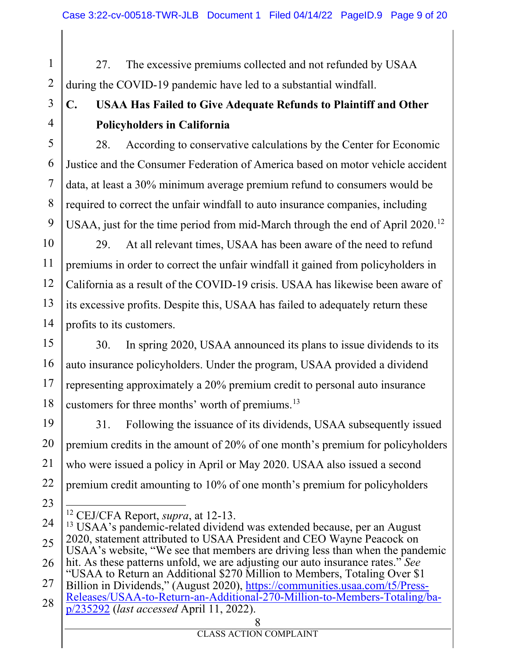1 2 27. The excessive premiums collected and not refunded by USAA during the COVID-19 pandemic have led to a substantial windfall.

3 4

# **C. USAA Has Failed to Give Adequate Refunds to Plaintiff and Other Policyholders in California**

5 6 7 8 9 28. According to conservative calculations by the Center for Economic Justice and the Consumer Federation of America based on motor vehicle accident data, at least a 30% minimum average premium refund to consumers would be required to correct the unfair windfall to auto insurance companies, including USAA, just for the time period from mid-March through the end of April 2020.<sup>12</sup>

10 11 12 13 14 29. At all relevant times, USAA has been aware of the need to refund premiums in order to correct the unfair windfall it gained from policyholders in California as a result of the COVID-19 crisis. USAA has likewise been aware of its excessive profits. Despite this, USAA has failed to adequately return these profits to its customers.

15 16 17 18 30. In spring 2020, USAA announced its plans to issue dividends to its auto insurance policyholders. Under the program, USAA provided a dividend representing approximately a 20% premium credit to personal auto insurance customers for three months' worth of premiums.<sup>13</sup>

19 20 21 22 31. Following the issuance of its dividends, USAA subsequently issued premium credits in the amount of 20% of one month's premium for policyholders who were issued a policy in April or May 2020. USAA also issued a second premium credit amounting to 10% of one month's premium for policyholders

<sup>12</sup> CEJ/CFA Report, *supra*, at 12-13.

<sup>24</sup> 25 26 27 <sup>13</sup> USAA's pandemic-related dividend was extended because, per an August 2020, statement attributed to USAA President and CEO Wayne Peacock on USAA's website, "We see that members are driving less than when the pandemic hit. As these patterns unfold, we are adjusting our auto insurance rates." *See* "USAA to Return an Additional \$270 Million to Members, Totaling Over \$1 Billion in Dividends," (August 2020), https://communities.usaa.com/t5/Press-Releases/USAA-to-Return-an-Additional-270-Million-to-Members-Totaling/ba-

<sup>28</sup> p/235292 (*last accessed* April 11, 2022).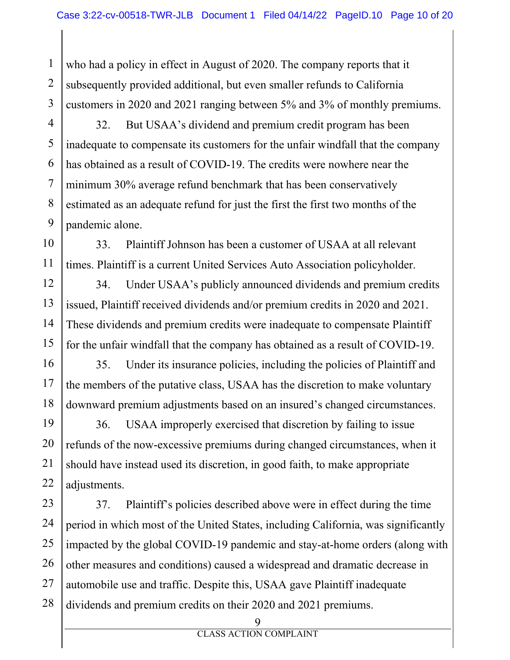1 2 3 who had a policy in effect in August of 2020. The company reports that it subsequently provided additional, but even smaller refunds to California customers in 2020 and 2021 ranging between 5% and 3% of monthly premiums.

4 5 6 7 8 9 32. But USAA's dividend and premium credit program has been inadequate to compensate its customers for the unfair windfall that the company has obtained as a result of COVID-19. The credits were nowhere near the minimum 30% average refund benchmark that has been conservatively estimated as an adequate refund for just the first the first two months of the pandemic alone.

10 11 33. Plaintiff Johnson has been a customer of USAA at all relevant times. Plaintiff is a current United Services Auto Association policyholder.

12 13 14 15 34. Under USAA's publicly announced dividends and premium credits issued, Plaintiff received dividends and/or premium credits in 2020 and 2021. These dividends and premium credits were inadequate to compensate Plaintiff for the unfair windfall that the company has obtained as a result of COVID-19.

16 17 18 35. Under its insurance policies, including the policies of Plaintiff and the members of the putative class, USAA has the discretion to make voluntary downward premium adjustments based on an insured's changed circumstances.

19 20 21 22 36. USAA improperly exercised that discretion by failing to issue refunds of the now-excessive premiums during changed circumstances, when it should have instead used its discretion, in good faith, to make appropriate adjustments.

23 24 25 26 27 28 37. Plaintiff's policies described above were in effect during the time period in which most of the United States, including California, was significantly impacted by the global COVID-19 pandemic and stay-at-home orders (along with other measures and conditions) caused a widespread and dramatic decrease in automobile use and traffic. Despite this, USAA gave Plaintiff inadequate dividends and premium credits on their 2020 and 2021 premiums.

<sup>9</sup>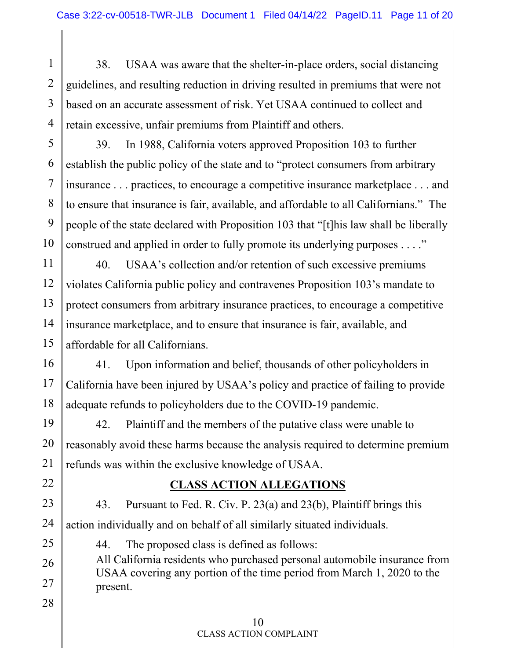1 2 3 4 38. USAA was aware that the shelter-in-place orders, social distancing guidelines, and resulting reduction in driving resulted in premiums that were not based on an accurate assessment of risk. Yet USAA continued to collect and retain excessive, unfair premiums from Plaintiff and others.

5 6 7 8 9 10 39. In 1988, California voters approved Proposition 103 to further establish the public policy of the state and to "protect consumers from arbitrary insurance . . . practices, to encourage a competitive insurance marketplace . . . and to ensure that insurance is fair, available, and affordable to all Californians." The people of the state declared with Proposition 103 that "[t]his law shall be liberally construed and applied in order to fully promote its underlying purposes . . . ."

11 12 13 14 15 40. USAA's collection and/or retention of such excessive premiums violates California public policy and contravenes Proposition 103's mandate to protect consumers from arbitrary insurance practices, to encourage a competitive insurance marketplace, and to ensure that insurance is fair, available, and affordable for all Californians.

16 17 18 41. Upon information and belief, thousands of other policyholders in California have been injured by USAA's policy and practice of failing to provide adequate refunds to policyholders due to the COVID-19 pandemic.

19 20 21 42. Plaintiff and the members of the putative class were unable to reasonably avoid these harms because the analysis required to determine premium refunds was within the exclusive knowledge of USAA.

## 22

25

28

### **CLASS ACTION ALLEGATIONS**

23 24 43. Pursuant to Fed. R. Civ. P. 23(a) and 23(b), Plaintiff brings this action individually and on behalf of all similarly situated individuals.

44. The proposed class is defined as follows:

26 27 All California residents who purchased personal automobile insurance from USAA covering any portion of the time period from March 1, 2020 to the present.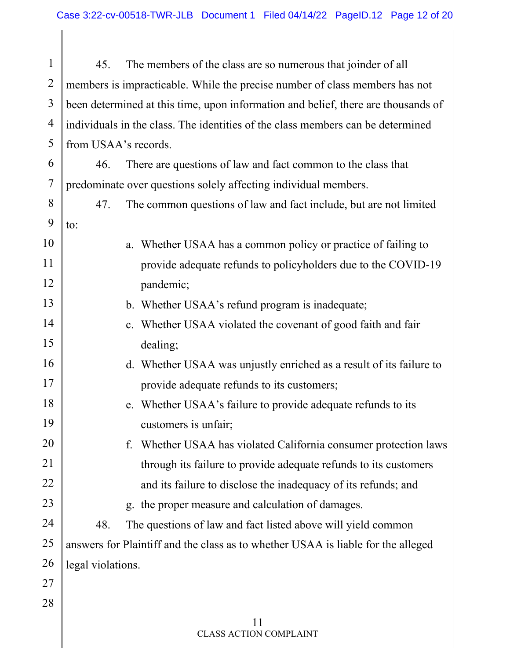1 2 3 4 5 45. The members of the class are so numerous that joinder of all members is impracticable. While the precise number of class members has not been determined at this time, upon information and belief, there are thousands of individuals in the class. The identities of the class members can be determined from USAA's records.

6 7 46. There are questions of law and fact common to the class that predominate over questions solely affecting individual members.

8 9 47. The common questions of law and fact include, but are not limited to:

- a. Whether USAA has a common policy or practice of failing to provide adequate refunds to policyholders due to the COVID-19 pandemic;
	- b. Whether USAA's refund program is inadequate;
	- c. Whether USAA violated the covenant of good faith and fair dealing;
	- d. Whether USAA was unjustly enriched as a result of its failure to provide adequate refunds to its customers;
		- e. Whether USAA's failure to provide adequate refunds to its customers is unfair;
		- f. Whether USAA has violated California consumer protection laws through its failure to provide adequate refunds to its customers and its failure to disclose the inadequacy of its refunds; and
			- g. the proper measure and calculation of damages.

24 25 26 48. The questions of law and fact listed above will yield common answers for Plaintiff and the class as to whether USAA is liable for the alleged legal violations.

27 28

10

11

12

13

14

15

16

17

18

19

20

21

22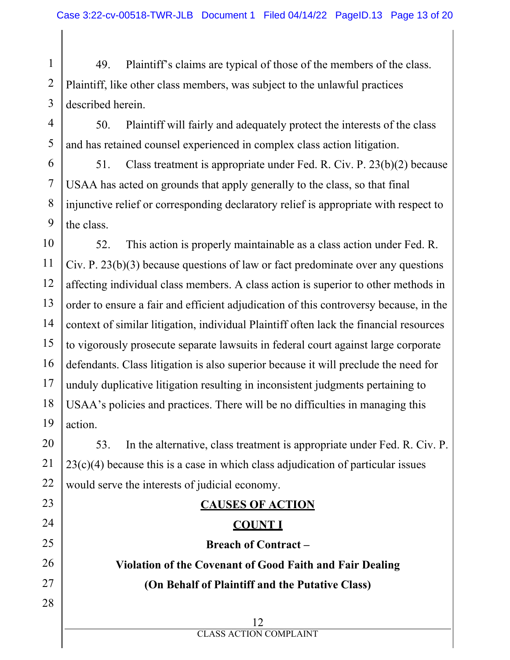1 2 3 49. Plaintiff's claims are typical of those of the members of the class. Plaintiff, like other class members, was subject to the unlawful practices described herein.

4 5 50. Plaintiff will fairly and adequately protect the interests of the class and has retained counsel experienced in complex class action litigation.

6 7 8 9 51. Class treatment is appropriate under Fed. R. Civ. P. 23(b)(2) because USAA has acted on grounds that apply generally to the class, so that final injunctive relief or corresponding declaratory relief is appropriate with respect to the class.

10 11 12 13 14 15 16 17 18 19 52. This action is properly maintainable as a class action under Fed. R. Civ. P. 23(b)(3) because questions of law or fact predominate over any questions affecting individual class members. A class action is superior to other methods in order to ensure a fair and efficient adjudication of this controversy because, in the context of similar litigation, individual Plaintiff often lack the financial resources to vigorously prosecute separate lawsuits in federal court against large corporate defendants. Class litigation is also superior because it will preclude the need for unduly duplicative litigation resulting in inconsistent judgments pertaining to USAA's policies and practices. There will be no difficulties in managing this action.

20 21 22 53. In the alternative, class treatment is appropriate under Fed. R. Civ. P. 23(c)(4) because this is a case in which class adjudication of particular issues would serve the interests of judicial economy.

23 24

25

26

27

28

## **CAUSES OF ACTION COUNT I**

**Breach of Contract – Violation of the Covenant of Good Faith and Fair Dealing (On Behalf of Plaintiff and the Putative Class)**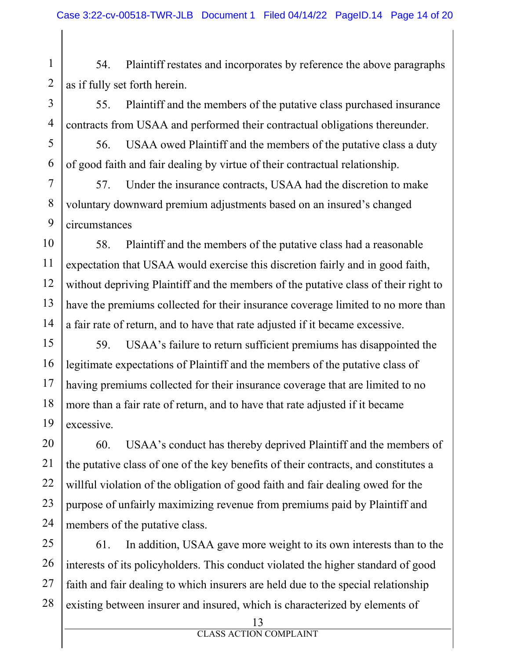1 2 54. Plaintiff restates and incorporates by reference the above paragraphs as if fully set forth herein.

3 4 55. Plaintiff and the members of the putative class purchased insurance contracts from USAA and performed their contractual obligations thereunder.

5 6 56. USAA owed Plaintiff and the members of the putative class a duty of good faith and fair dealing by virtue of their contractual relationship.

7 8 9 57. Under the insurance contracts, USAA had the discretion to make voluntary downward premium adjustments based on an insured's changed circumstances

10 11 12 13 14 58. Plaintiff and the members of the putative class had a reasonable expectation that USAA would exercise this discretion fairly and in good faith, without depriving Plaintiff and the members of the putative class of their right to have the premiums collected for their insurance coverage limited to no more than a fair rate of return, and to have that rate adjusted if it became excessive.

15 16 17 18 19 59. USAA's failure to return sufficient premiums has disappointed the legitimate expectations of Plaintiff and the members of the putative class of having premiums collected for their insurance coverage that are limited to no more than a fair rate of return, and to have that rate adjusted if it became excessive.

20 21 22 23 24 60. USAA's conduct has thereby deprived Plaintiff and the members of the putative class of one of the key benefits of their contracts, and constitutes a willful violation of the obligation of good faith and fair dealing owed for the purpose of unfairly maximizing revenue from premiums paid by Plaintiff and members of the putative class.

25 26 27 28 61. In addition, USAA gave more weight to its own interests than to the interests of its policyholders. This conduct violated the higher standard of good faith and fair dealing to which insurers are held due to the special relationship existing between insurer and insured, which is characterized by elements of

<sup>13</sup>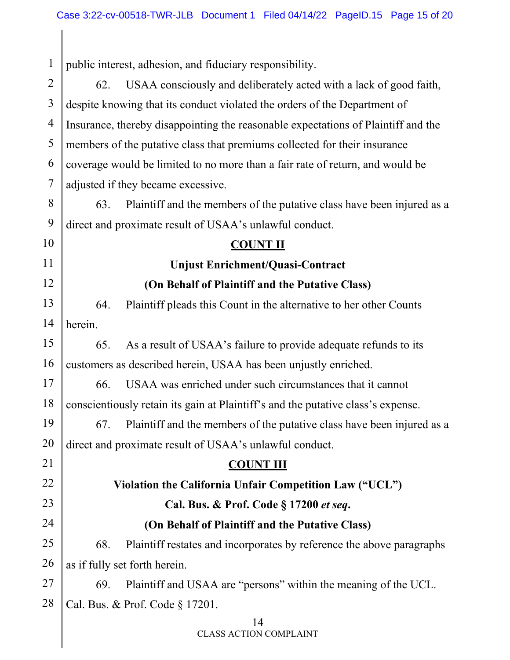| $\mathbf{1}$   | public interest, adhesion, and fiduciary responsibility.                          |  |  |
|----------------|-----------------------------------------------------------------------------------|--|--|
| $\overline{2}$ | USAA consciously and deliberately acted with a lack of good faith,<br>62.         |  |  |
| $\overline{3}$ | despite knowing that its conduct violated the orders of the Department of         |  |  |
| $\overline{4}$ | Insurance, thereby disappointing the reasonable expectations of Plaintiff and the |  |  |
| 5              | members of the putative class that premiums collected for their insurance         |  |  |
| 6              | coverage would be limited to no more than a fair rate of return, and would be     |  |  |
| 7              | adjusted if they became excessive.                                                |  |  |
| 8              | Plaintiff and the members of the putative class have been injured as a<br>63.     |  |  |
| 9              | direct and proximate result of USAA's unlawful conduct.                           |  |  |
| 10             | <b>COUNT II</b>                                                                   |  |  |
| 11             | <b>Unjust Enrichment/Quasi-Contract</b>                                           |  |  |
| 12             | (On Behalf of Plaintiff and the Putative Class)                                   |  |  |
| 13             | 64.<br>Plaintiff pleads this Count in the alternative to her other Counts         |  |  |
| 14             | herein.                                                                           |  |  |
| 15             | As a result of USAA's failure to provide adequate refunds to its<br>65.           |  |  |
| 16             | customers as described herein, USAA has been unjustly enriched.                   |  |  |
| 17             | USAA was enriched under such circumstances that it cannot<br>66.                  |  |  |
| 18             | conscientiously retain its gain at Plaintiff's and the putative class's expense.  |  |  |
| 19             | 67. Plaintiff and the members of the putative class have been injured as a        |  |  |
| 20             | direct and proximate result of USAA's unlawful conduct.                           |  |  |
| 21             | <b>COUNT III</b>                                                                  |  |  |
| 22             | Violation the California Unfair Competition Law ("UCL")                           |  |  |
| 23             | Cal. Bus. & Prof. Code § 17200 et seq.                                            |  |  |
| 24             | (On Behalf of Plaintiff and the Putative Class)                                   |  |  |
| 25             | Plaintiff restates and incorporates by reference the above paragraphs<br>68.      |  |  |
| 26             | as if fully set forth herein.                                                     |  |  |
| 27             | Plaintiff and USAA are "persons" within the meaning of the UCL.<br>69.            |  |  |
| 28             | Cal. Bus. & Prof. Code § 17201.                                                   |  |  |
|                | 14<br><b>CLASS ACTION COMPLAINT</b>                                               |  |  |
|                |                                                                                   |  |  |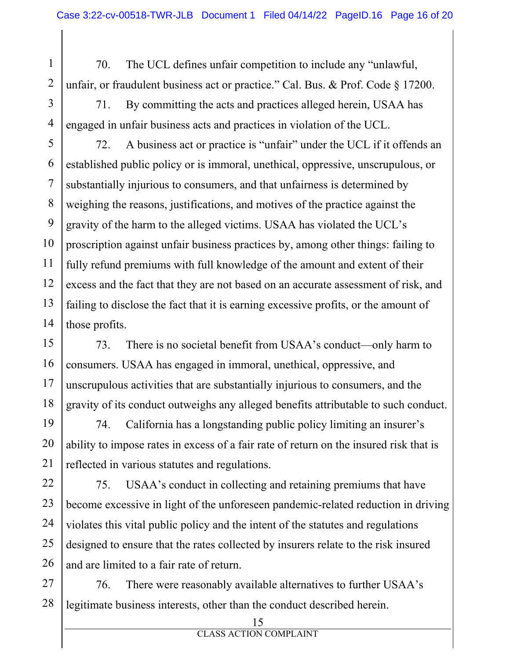1 2 70. The UCL defines unfair competition to include any "unlawful, unfair, or fraudulent business act or practice." Cal. Bus. & Prof. Code § 17200.

3 4 71. By committing the acts and practices alleged herein, USAA has engaged in unfair business acts and practices in violation of the UCL.

5 6 7 8 9 10 11 12 13 14 72. A business act or practice is "unfair" under the UCL if it offends an established public policy or is immoral, unethical, oppressive, unscrupulous, or substantially injurious to consumers, and that unfairness is determined by weighing the reasons, justifications, and motives of the practice against the gravity of the harm to the alleged victims. USAA has violated the UCL's proscription against unfair business practices by, among other things: failing to fully refund premiums with full knowledge of the amount and extent of their excess and the fact that they are not based on an accurate assessment of risk, and failing to disclose the fact that it is earning excessive profits, or the amount of those profits.

15 16 17 18 73. There is no societal benefit from USAA's conduct—only harm to consumers. USAA has engaged in immoral, unethical, oppressive, and unscrupulous activities that are substantially injurious to consumers, and the gravity of its conduct outweighs any alleged benefits attributable to such conduct.

19 20 21 74. California has a longstanding public policy limiting an insurer's ability to impose rates in excess of a fair rate of return on the insured risk that is reflected in various statutes and regulations.

22 23 24 25 26 75. USAA's conduct in collecting and retaining premiums that have become excessive in light of the unforeseen pandemic-related reduction in driving violates this vital public policy and the intent of the statutes and regulations designed to ensure that the rates collected by insurers relate to the risk insured and are limited to a fair rate of return.

27 28 76. There were reasonably available alternatives to further USAA's legitimate business interests, other than the conduct described herein.

<sup>15</sup>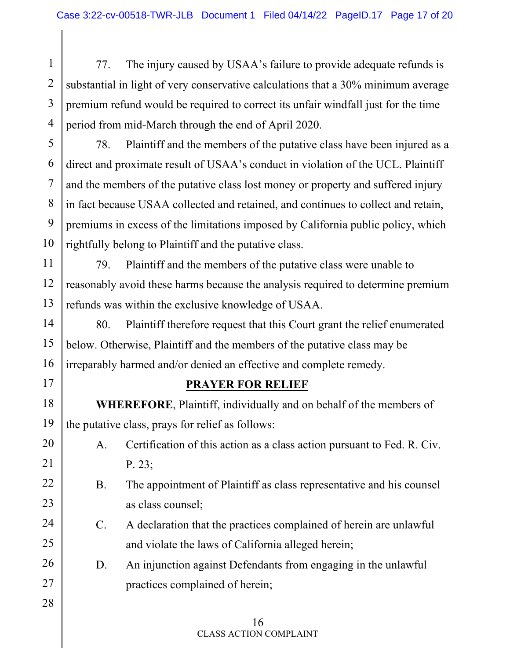1 2 3 4 77. The injury caused by USAA's failure to provide adequate refunds is substantial in light of very conservative calculations that a 30% minimum average premium refund would be required to correct its unfair windfall just for the time period from mid-March through the end of April 2020.

5 6 7 8 9 10 78. Plaintiff and the members of the putative class have been injured as a direct and proximate result of USAA's conduct in violation of the UCL. Plaintiff and the members of the putative class lost money or property and suffered injury in fact because USAA collected and retained, and continues to collect and retain, premiums in excess of the limitations imposed by California public policy, which rightfully belong to Plaintiff and the putative class.

11 12 13 79. Plaintiff and the members of the putative class were unable to reasonably avoid these harms because the analysis required to determine premium refunds was within the exclusive knowledge of USAA.

14 15 16 80. Plaintiff therefore request that this Court grant the relief enumerated below. Otherwise, Plaintiff and the members of the putative class may be irreparably harmed and/or denied an effective and complete remedy.

# 17

21

22

23

24

25

27

28

## **PRAYER FOR RELIEF**

18 19 **WHEREFORE**, Plaintiff, individually and on behalf of the members of the putative class, prays for relief as follows:

- 20 A. Certification of this action as a class action pursuant to Fed. R. Civ. P. 23;
	- B. The appointment of Plaintiff as class representative and his counsel as class counsel;
	- C. A declaration that the practices complained of herein are unlawful and violate the laws of California alleged herein;
- 26 D. An injunction against Defendants from engaging in the unlawful practices complained of herein;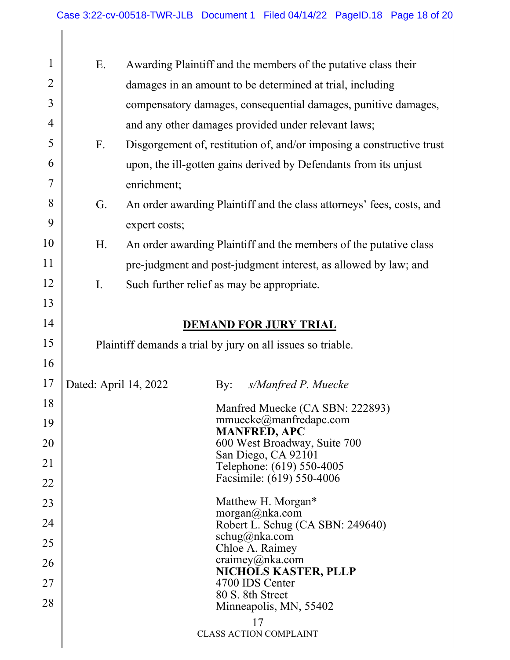| 1              | Ε.<br>Awarding Plaintiff and the members of the putative class their |               |                                                                       |
|----------------|----------------------------------------------------------------------|---------------|-----------------------------------------------------------------------|
| $\overline{2}$ |                                                                      |               | damages in an amount to be determined at trial, including             |
| 3              |                                                                      |               | compensatory damages, consequential damages, punitive damages,        |
| 4              |                                                                      |               | and any other damages provided under relevant laws;                   |
| 5              | $F_{\cdot}$                                                          |               | Disgorgement of, restitution of, and/or imposing a constructive trust |
| 6              |                                                                      |               | upon, the ill-gotten gains derived by Defendants from its unjust      |
| 7              |                                                                      | enrichment;   |                                                                       |
| 8              | G.                                                                   |               | An order awarding Plaintiff and the class attorneys' fees, costs, and |
| 9              |                                                                      | expert costs; |                                                                       |
| 10             | Η.                                                                   |               | An order awarding Plaintiff and the members of the putative class     |
| 11             |                                                                      |               | pre-judgment and post-judgment interest, as allowed by law; and       |
| 12             | $\mathbf{I}$ .                                                       |               | Such further relief as may be appropriate.                            |
| 13             |                                                                      |               |                                                                       |
| 14             | <b>DEMAND FOR JURY TRIAL</b>                                         |               |                                                                       |
| 15             | Plaintiff demands a trial by jury on all issues so triable.          |               |                                                                       |
| 16             |                                                                      |               |                                                                       |
| 17             | Dated: April 14, 2022                                                |               | s/Manfred P. Muecke<br>$\gamma$ :                                     |
| 18             |                                                                      |               | Manfred Muecke (CA SBN: 222893)                                       |
| 19             |                                                                      |               | mmuecke@manfredapc.com<br><b>MANFRED, APC</b>                         |
| 20             |                                                                      |               | 600 West Broadway, Suite 700                                          |
| 21             |                                                                      |               | San Diego, CA 92101<br>Telephone: (619) 550-4005                      |
| 22             |                                                                      |               | Facsimile: (619) 550-4006                                             |
| 23             |                                                                      |               | Matthew H. Morgan*                                                    |
| 24             |                                                                      |               | morgan@nka.com<br>Robert L. Schug (CA SBN: 249640)                    |
| 25             |                                                                      |               | schug@nka.com<br>Chloe A. Raimey                                      |
| 26             |                                                                      |               | craimey@nka.com                                                       |
| 27             |                                                                      |               | NICHOLS KASTER, PLLP<br>4700 IDS Center                               |
| 28             |                                                                      |               | 80 S. 8th Street                                                      |
|                |                                                                      |               | Minneapolis, MN, 55402                                                |
|                |                                                                      |               | 17<br><b>CLASS ACTION COMPLAINT</b>                                   |
|                |                                                                      |               |                                                                       |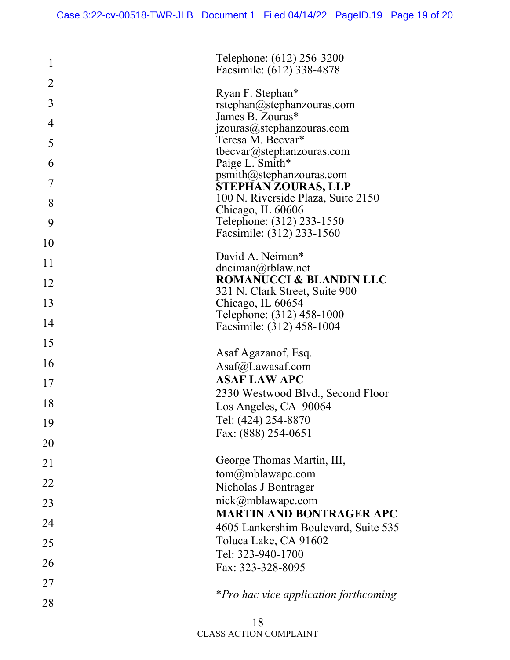| Telephone: (612) 256-3200<br>Facsimile: (612) 338-4878           |
|------------------------------------------------------------------|
|                                                                  |
| Ryan F. Stephan*                                                 |
| rstephan@stephanzouras.com<br>James B. Zouras*                   |
| jzouras@stephanzouras.com                                        |
| Teresa M. Becvar*<br>tbecvar@stephanzouras.com                   |
| Paige L. Smith*                                                  |
| psmith@stephanzouras.com                                         |
| <b>STEPHAN ZOURAS, LLP</b><br>100 N. Riverside Plaza, Suite 2150 |
| Chicago, IL 60606                                                |
| Telephone: (312) 233-1550                                        |
| Facsimile: (312) 233-1560                                        |
| David A. Neiman*                                                 |
| $d$ neiman $@r$ blaw.net<br><b>ROMANUCCI &amp; BLANDIN LLC</b>   |
| 321 N. Clark Street, Suite 900                                   |
| Chicago, IL 60654                                                |
| Telephone: (312) 458-1000                                        |
| Facsimile: (312) 458-1004                                        |
| Asaf Agazanof, Esq.                                              |
| Asaf@Lawasaf.com                                                 |
| <b>ASAF LAW APC</b>                                              |
| 2330 Westwood Blvd., Second Floor                                |
| Los Angeles, CA 90064<br>Tel: (424) 254-8870                     |
| Fax: (888) 254-0651                                              |
|                                                                  |
| George Thomas Martin, III,                                       |
| tom@mblawapc.com                                                 |
| Nicholas J Bontrager<br>nick@mblawapc.com                        |
| <b>MARTIN AND BONTRAGER APC</b>                                  |
| 4605 Lankershim Boulevard, Suite 535                             |
| Toluca Lake, CA 91602                                            |
| Tel: 323-940-1700                                                |
| Fax: 323-328-8095                                                |
|                                                                  |
| *Pro hac vice application forthcoming                            |
| 18                                                               |